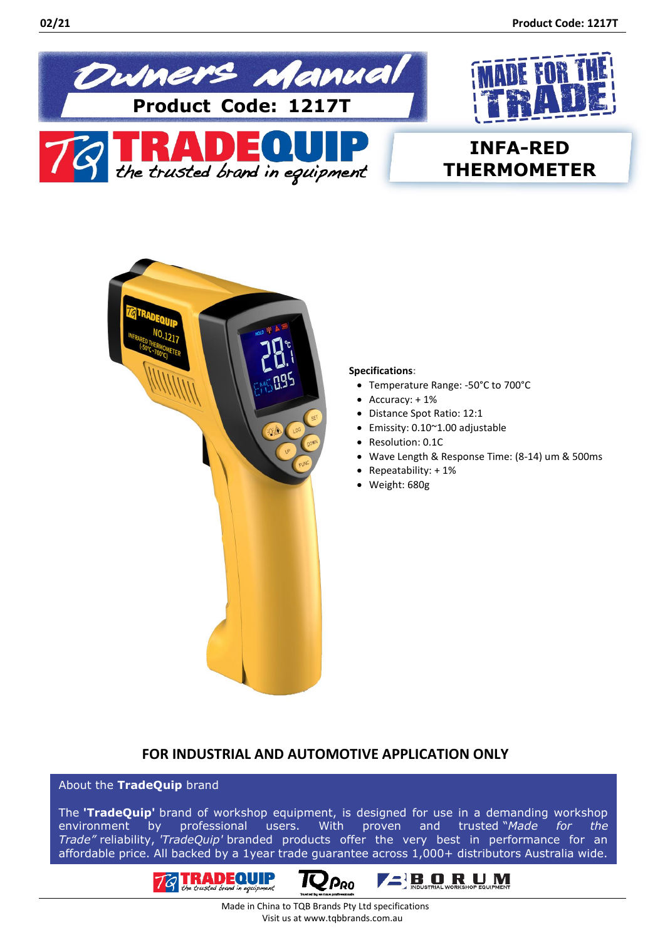



# **INFA-RED THERMOMETER**



#### **Specifications:**

- Temperature Range: -50°C to 700°C
- Accuracy: + 1%
- Distance Spot Ratio: 12:1
- Emissity: 0.10~1.00 adjustable
- Resolution: 0.1C
- Wave Length & Response Time: (8-14) um & 500ms
- Repeatability: + 1%
- Weight: 680g

## **FOR INDUSTRIAL AND AUTOMOTIVE APPLICATION ONLY**

## About the **TradeQuip** brand

The **'TradeQuip'** brand of workshop equipment, is designed for use in a demanding workshop environment by professional users. With proven and trusted "*Made for the Trade"* reliability, *'TradeQuip'* branded products offer the very best in performance for an affordable price. All backed by a 1year trade guarantee across 1,000+ distributors Australia wide.







 Made in China to TQB Brands Pty Ltd specifications Visit us at www.tqbbrands.com.au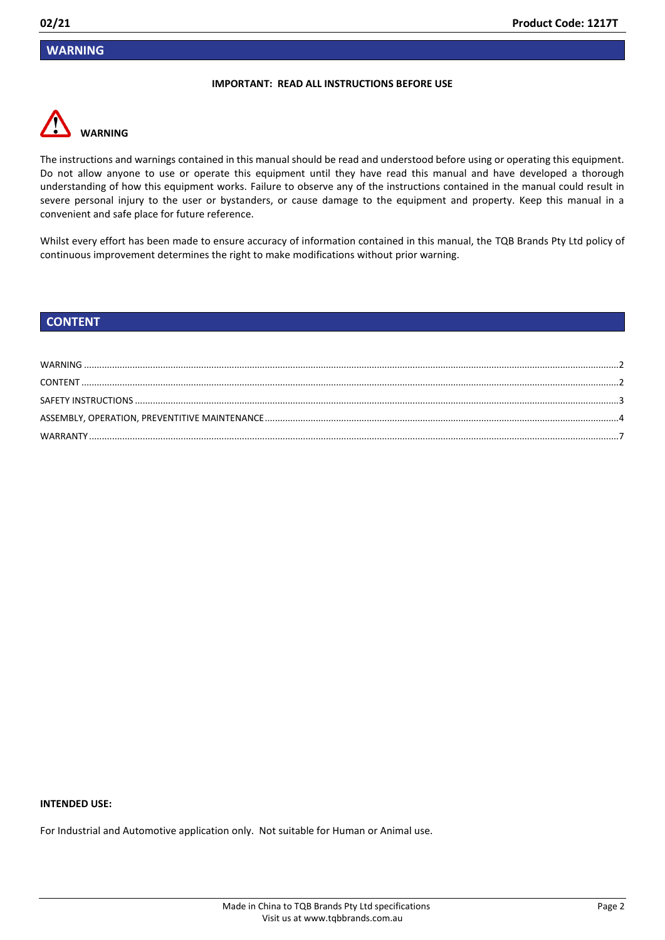## <span id="page-1-0"></span>**WARNING**

#### **IMPORTANT: READ ALL INSTRUCTIONS BEFORE USE**



The instructions and warnings contained in this manual should be read and understood before using or operating this equipment. Do not allow anyone to use or operate this equipment until they have read this manual and have developed a thorough understanding of how this equipment works. Failure to observe any of the instructions contained in the manual could result in severe personal injury to the user or bystanders, or cause damage to the equipment and property. Keep this manual in a convenient and safe place for future reference.

Whilst every effort has been made to ensure accuracy of information contained in this manual, the TQB Brands Pty Ltd policy of continuous improvement determines the right to make modifications without prior warning.

## <span id="page-1-1"></span>**CONTENT**

#### **INTENDED USE:**

For Industrial and Automotive application only. Not suitable for Human or Animal use.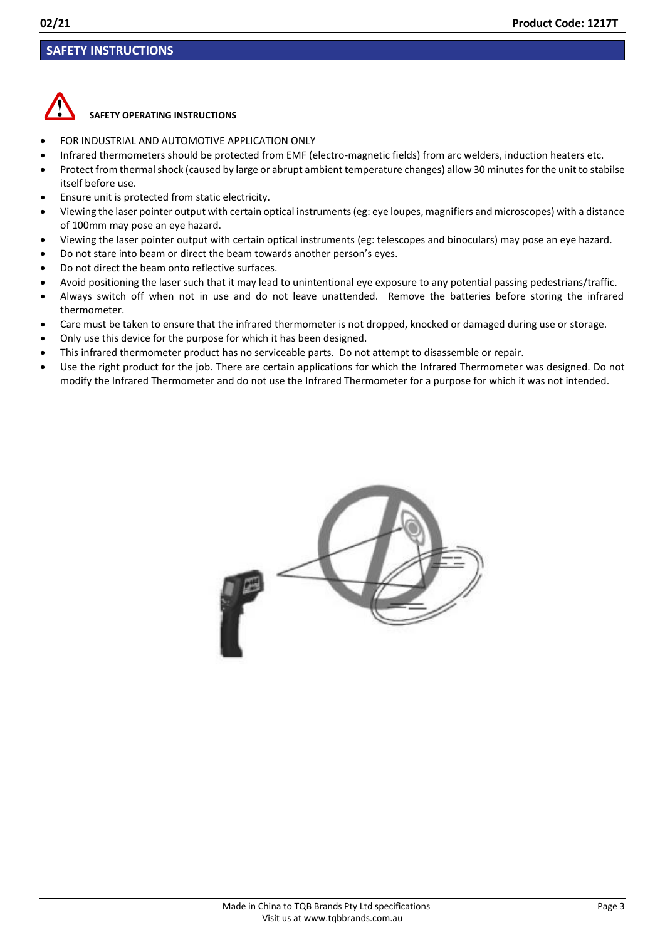## <span id="page-2-0"></span>**SAFETY INSTRUCTIONS**



## **SAFETY OPERATING INSTRUCTIONS**

- FOR INDUSTRIAL AND AUTOMOTIVE APPLICATION ONLY
- Infrared thermometers should be protected from EMF (electro-magnetic fields) from arc welders, induction heaters etc.
- Protect from thermal shock (caused by large or abrupt ambient temperature changes) allow 30 minutes for the unit to stabilse itself before use.
- Ensure unit is protected from static electricity.
- Viewing the laser pointer output with certain optical instruments (eg: eye loupes, magnifiers and microscopes) with a distance of 100mm may pose an eye hazard.
- Viewing the laser pointer output with certain optical instruments (eg: telescopes and binoculars) may pose an eye hazard.
- Do not stare into beam or direct the beam towards another person's eyes.
- Do not direct the beam onto reflective surfaces.
- Avoid positioning the laser such that it may lead to unintentional eye exposure to any potential passing pedestrians/traffic.
- Always switch off when not in use and do not leave unattended. Remove the batteries before storing the infrared thermometer.
- Care must be taken to ensure that the infrared thermometer is not dropped, knocked or damaged during use or storage.
- Only use this device for the purpose for which it has been designed.
- This infrared thermometer product has no serviceable parts. Do not attempt to disassemble or repair.
- Use the right product for the job. There are certain applications for which the Infrared Thermometer was designed. Do not modify the Infrared Thermometer and do not use the Infrared Thermometer for a purpose for which it was not intended.

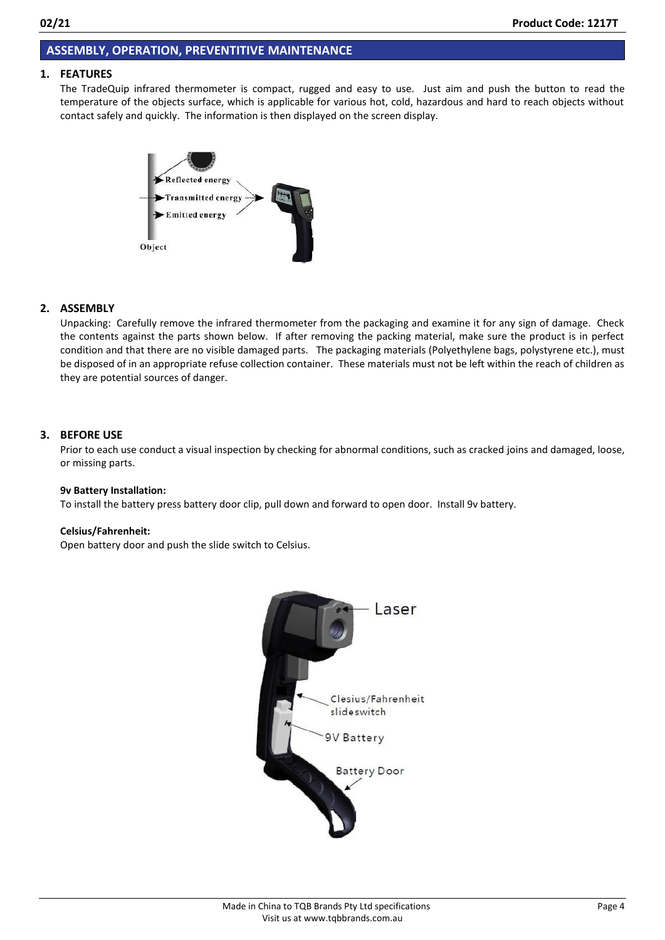## <span id="page-3-0"></span>**ASSEMBLY, OPERATION, PREVENTITIVE MAINTENANCE**

### **1. FEATURES**

The TradeQuip infrared thermometer is compact, rugged and easy to use. Just aim and push the button to read the temperature of the objects surface, which is applicable for various hot, cold, hazardous and hard to reach objects without contact safely and quickly. The information is then displayed on the screen display.



## **2. ASSEMBLY**

Unpacking: Carefully remove the infrared thermometer from the packaging and examine it for any sign of damage. Check the contents against the parts shown below. If after removing the packing material, make sure the product is in perfect condition and that there are no visible damaged parts. The packaging materials (Polyethylene bags, polystyrene etc.), must be disposed of in an appropriate refuse collection container. These materials must not be left within the reach of children as they are potential sources of danger.

#### **3. BEFORE USE**

Prior to each use conduct a visual inspection by checking for abnormal conditions, such as cracked joins and damaged, loose, or missing parts.

#### **9v Battery Installation:**

To install the battery press battery door clip, pull down and forward to open door. Install 9v battery.

#### **Celsius/Fahrenheit:**

Open battery door and push the slide switch to Celsius.

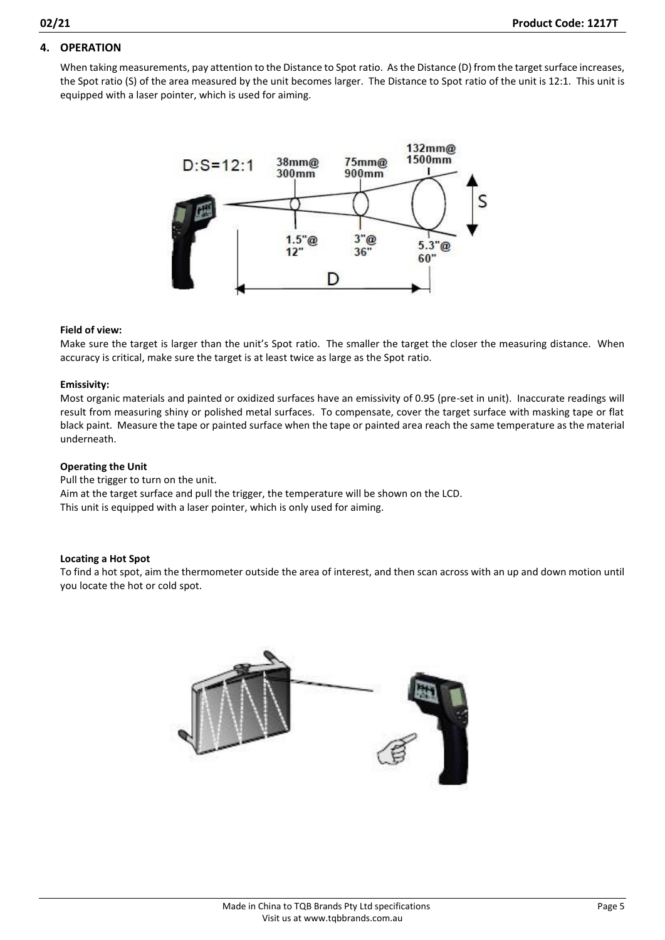## **4. OPERATION**

When taking measurements, pay attention to the Distance to Spot ratio. As the Distance (D) from the target surface increases, the Spot ratio (S) of the area measured by the unit becomes larger. The Distance to Spot ratio of the unit is 12:1. This unit is equipped with a laser pointer, which is used for aiming.



#### **Field of view:**

Make sure the target is larger than the unit's Spot ratio. The smaller the target the closer the measuring distance. When accuracy is critical, make sure the target is at least twice as large as the Spot ratio.

#### **Emissivity:**

Most organic materials and painted or oxidized surfaces have an emissivity of 0.95 (pre-set in unit). Inaccurate readings will result from measuring shiny or polished metal surfaces. To compensate, cover the target surface with masking tape or flat black paint. Measure the tape or painted surface when the tape or painted area reach the same temperature as the material underneath.

#### **Operating the Unit**

Pull the trigger to turn on the unit. Aim at the target surface and pull the trigger, the temperature will be shown on the LCD. This unit is equipped with a laser pointer, which is only used for aiming.

#### **Locating a Hot Spot**

To find a hot spot, aim the thermometer outside the area of interest, and then scan across with an up and down motion until you locate the hot or cold spot.

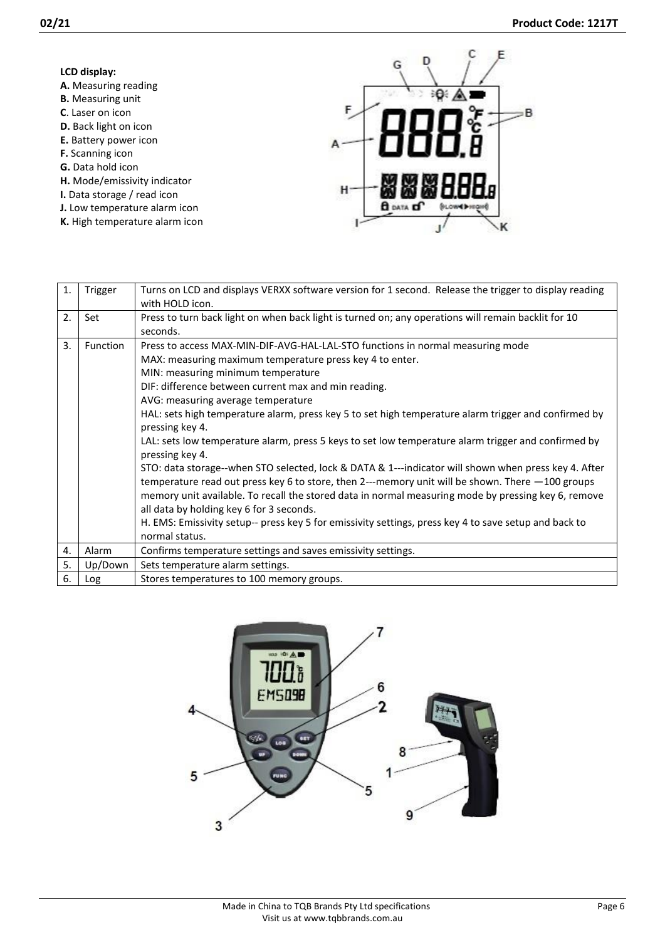| LCD display:                   |   |
|--------------------------------|---|
| A. Measuring reading           |   |
| <b>B.</b> Measuring unit       |   |
| <b>C.</b> Laser on icon        | F |
| <b>D.</b> Back light on icon   |   |
| E. Battery power icon          |   |
| <b>F.</b> Scanning icon        |   |
| G. Data hold icon              |   |
| H. Mode/emissivity indicator   |   |
| I. Data storage / read icon    |   |
| J. Low temperature alarm icon  |   |
| K. High temperature alarm icon |   |

| 1. | Trigger  | Turns on LCD and displays VERXX software version for 1 second. Release the trigger to display reading<br>with HOLD icon.                                                                                                                                                                                                                                                                                                                                                                                                                                                                                                                                                                                                                                                                                                                                                                                                                                                                                                        |
|----|----------|---------------------------------------------------------------------------------------------------------------------------------------------------------------------------------------------------------------------------------------------------------------------------------------------------------------------------------------------------------------------------------------------------------------------------------------------------------------------------------------------------------------------------------------------------------------------------------------------------------------------------------------------------------------------------------------------------------------------------------------------------------------------------------------------------------------------------------------------------------------------------------------------------------------------------------------------------------------------------------------------------------------------------------|
| 2. | Set      | Press to turn back light on when back light is turned on; any operations will remain backlit for 10<br>seconds.                                                                                                                                                                                                                                                                                                                                                                                                                                                                                                                                                                                                                                                                                                                                                                                                                                                                                                                 |
| 3. | Function | Press to access MAX-MIN-DIF-AVG-HAL-LAL-STO functions in normal measuring mode<br>MAX: measuring maximum temperature press key 4 to enter.<br>MIN: measuring minimum temperature<br>DIF: difference between current max and min reading.<br>AVG: measuring average temperature<br>HAL: sets high temperature alarm, press key 5 to set high temperature alarm trigger and confirmed by<br>pressing key 4.<br>LAL: sets low temperature alarm, press 5 keys to set low temperature alarm trigger and confirmed by<br>pressing key 4.<br>STO: data storage--when STO selected, lock & DATA & 1---indicator will shown when press key 4. After<br>temperature read out press key 6 to store, then 2---memory unit will be shown. There $-100$ groups<br>memory unit available. To recall the stored data in normal measuring mode by pressing key 6, remove<br>all data by holding key 6 for 3 seconds.<br>H. EMS: Emissivity setup-- press key 5 for emissivity settings, press key 4 to save setup and back to<br>normal status. |
| 4. | Alarm    | Confirms temperature settings and saves emissivity settings.                                                                                                                                                                                                                                                                                                                                                                                                                                                                                                                                                                                                                                                                                                                                                                                                                                                                                                                                                                    |
| 5. | Up/Down  | Sets temperature alarm settings.                                                                                                                                                                                                                                                                                                                                                                                                                                                                                                                                                                                                                                                                                                                                                                                                                                                                                                                                                                                                |
| 6. | Log      | Stores temperatures to 100 memory groups.                                                                                                                                                                                                                                                                                                                                                                                                                                                                                                                                                                                                                                                                                                                                                                                                                                                                                                                                                                                       |